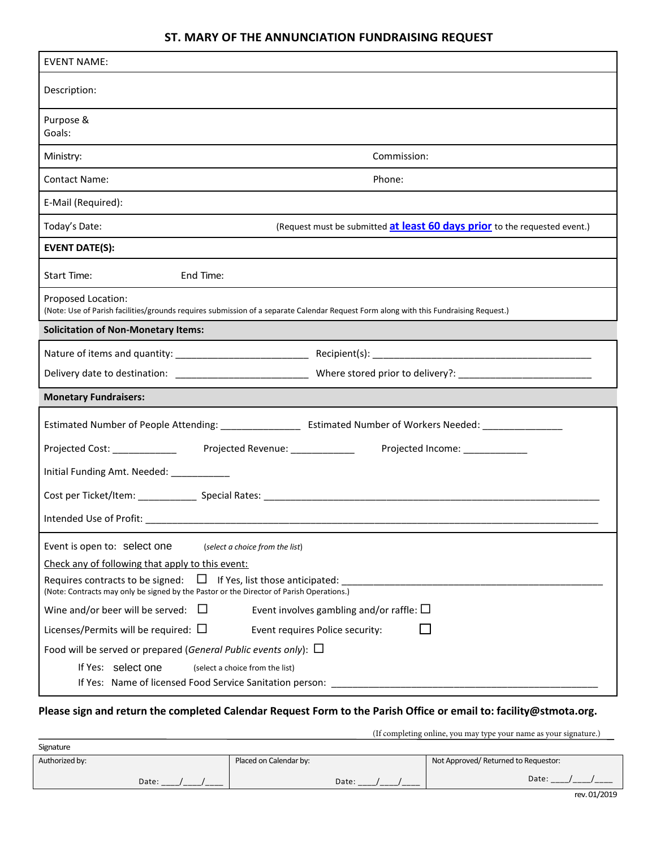## **ST. MARY OF THE ANNUNCIATION FUNDRAISING REQUEST**

| <b>EVENT NAME:</b>                                                                                                                                                                                                                                                                                                                                                                                                                                                                                                                                                                                               |  |  |  |  |  |  |
|------------------------------------------------------------------------------------------------------------------------------------------------------------------------------------------------------------------------------------------------------------------------------------------------------------------------------------------------------------------------------------------------------------------------------------------------------------------------------------------------------------------------------------------------------------------------------------------------------------------|--|--|--|--|--|--|
| Description:                                                                                                                                                                                                                                                                                                                                                                                                                                                                                                                                                                                                     |  |  |  |  |  |  |
| Purpose &<br>Goals:                                                                                                                                                                                                                                                                                                                                                                                                                                                                                                                                                                                              |  |  |  |  |  |  |
| Ministry:<br>Commission:                                                                                                                                                                                                                                                                                                                                                                                                                                                                                                                                                                                         |  |  |  |  |  |  |
| Phone:<br><b>Contact Name:</b>                                                                                                                                                                                                                                                                                                                                                                                                                                                                                                                                                                                   |  |  |  |  |  |  |
| E-Mail (Required):                                                                                                                                                                                                                                                                                                                                                                                                                                                                                                                                                                                               |  |  |  |  |  |  |
| (Request must be submitted at least 60 days prior to the requested event.)<br>Today's Date:                                                                                                                                                                                                                                                                                                                                                                                                                                                                                                                      |  |  |  |  |  |  |
| <b>EVENT DATE(S):</b>                                                                                                                                                                                                                                                                                                                                                                                                                                                                                                                                                                                            |  |  |  |  |  |  |
| End Time:<br>Start Time:                                                                                                                                                                                                                                                                                                                                                                                                                                                                                                                                                                                         |  |  |  |  |  |  |
| Proposed Location:<br>(Note: Use of Parish facilities/grounds requires submission of a separate Calendar Request Form along with this Fundraising Request.)                                                                                                                                                                                                                                                                                                                                                                                                                                                      |  |  |  |  |  |  |
| <b>Solicitation of Non-Monetary Items:</b>                                                                                                                                                                                                                                                                                                                                                                                                                                                                                                                                                                       |  |  |  |  |  |  |
|                                                                                                                                                                                                                                                                                                                                                                                                                                                                                                                                                                                                                  |  |  |  |  |  |  |
|                                                                                                                                                                                                                                                                                                                                                                                                                                                                                                                                                                                                                  |  |  |  |  |  |  |
| <b>Monetary Fundraisers:</b>                                                                                                                                                                                                                                                                                                                                                                                                                                                                                                                                                                                     |  |  |  |  |  |  |
|                                                                                                                                                                                                                                                                                                                                                                                                                                                                                                                                                                                                                  |  |  |  |  |  |  |
| Projected Cost: ____________<br>Projected Revenue: ______________<br>Projected Income: ___________                                                                                                                                                                                                                                                                                                                                                                                                                                                                                                               |  |  |  |  |  |  |
| Initial Funding Amt. Needed: __________                                                                                                                                                                                                                                                                                                                                                                                                                                                                                                                                                                          |  |  |  |  |  |  |
|                                                                                                                                                                                                                                                                                                                                                                                                                                                                                                                                                                                                                  |  |  |  |  |  |  |
| Intended Use of Profit:                                                                                                                                                                                                                                                                                                                                                                                                                                                                                                                                                                                          |  |  |  |  |  |  |
| Event is open to: select one<br>(select a choice from the list)<br>Check any of following that apply to this event:<br>$\Box$ If Yes, list those anticipated:<br>Requires contracts to be signed:<br>(Note: Contracts may only be signed by the Pastor or the Director of Parish Operations.)<br>Wine and/or beer will be served: $\Box$<br>Event involves gambling and/or raffle: $\square$<br>Licenses/Permits will be required: $\square$<br>Event requires Police security:<br>Food will be served or prepared (General Public events only): $\Box$<br>If Yes: select one<br>(select a choice from the list) |  |  |  |  |  |  |
| If Yes: Name of licensed Food Service Sanitation person:                                                                                                                                                                                                                                                                                                                                                                                                                                                                                                                                                         |  |  |  |  |  |  |

## **Please sign and return the completed Calendar Request Form to the Parish Office or email to: facility@stmota.org.**

(If completing online, you may type your name as your signature.)

|                |       |                        | (1.301) |                                      |  |
|----------------|-------|------------------------|---------|--------------------------------------|--|
| Signature      |       |                        |         |                                      |  |
| Authorized by: |       | Placed on Calendar by: |         | Not Approved/ Returned to Requestor: |  |
|                | Date: |                        | Date:   | Date:                                |  |
|                |       |                        |         |                                      |  |